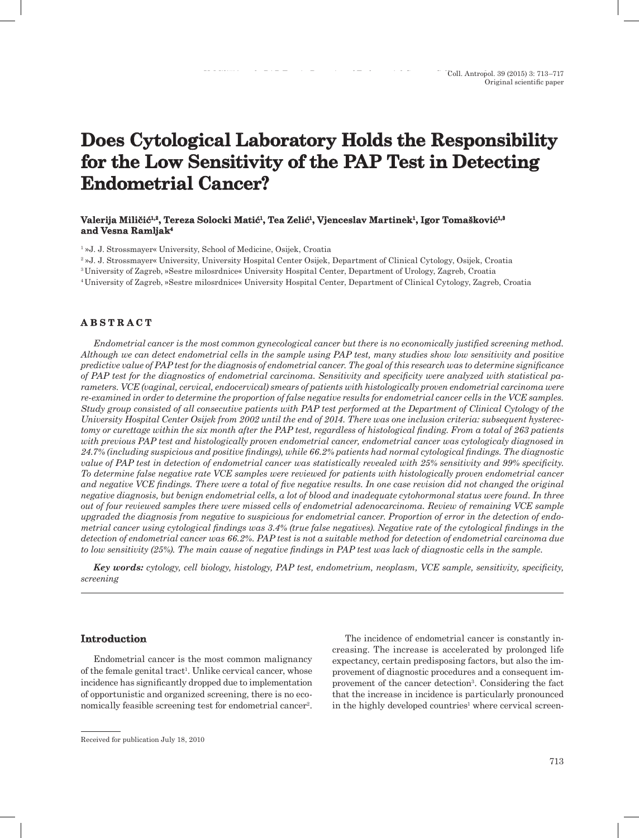# **Does Cytological Laboratory Holds the Responsibility for the Low Sensitivity of the PAP Test in Detecting Endometrial Cancer?**

## **Valerija Miličić1,2, Tereza Solocki Matić<sup>1</sup>, Tea Zelić1, Vjenceslav Martinek1, Igor Tomašković1,3 and Vesna Ramljak4**

1 »J. J. Strossmayer« University, School of Medicine, Osijek, Croatia

2 »J. J. Strossmayer« University, University Hospital Center Osijek, Department of Clinical Cytology, Osijek, Croatia

<sup>3</sup>University of Zagreb, »Sestre milosrdnice« University Hospital Center, Department of Urology, Zagreb, Croatia

<sup>4</sup>University of Zagreb, »Sestre milosrdnice« University Hospital Center, Department of Clinical Cytology, Zagreb, Croatia

## **A B S T R A C T**

*Endometrial cancer is the most common gynecological cancer but there is no economically justified screening method. Although we can detect endometrial cells in the sample using PAP test, many studies show low sensitivity and positive predictive value of PAP test for the diagnosis of endometrial cancer. The goal of this research was to determine significance of PAP test for the diagnostics of endometrial carcinoma. Sensitivity and specificity were analyzed with statistical parameters. VCE (vaginal, cervical, endocervical) smears of patients with histologically proven endometrial carcinoma were re-examined in order to determine the proportion of false negative results for endometrial cancer cells in the VCE samples. Study group consisted of all consecutive patients with PAP test performed at the Department of Clinical Cytology of the University Hospital Center Osijek from 2002 until the end of 2014. There was one inclusion criteria: subsequent hysterectomy or curettage within the six month after the PAP test, regardless of histological finding. From a total of 263 patients with previous PAP test and histologically proven endometrial cancer, endometrial cancer was cytologicaly diagnosed in 24.7% (including suspicious and positive findings), while 66.2% patients had normal cytological findings. The diagnostic value of PAP test in detection of endometrial cancer was statistically revealed with 25% sensitivity and 99% specificity. To determine false negative rate VCE samples were reviewed for patients with histologically proven endometrial cancer and negative VCE findings. There were a total of five negative results. In one case revision did not changed the original negative diagnosis, but benign endometrial cells, a lot of blood and inadequate cytohormonal status were found. In three out of four reviewed samples there were missed cells of endometrial adenocarcinoma. Review of remaining VCE sample upgraded the diagnosis from negative to suspicious for endometrial cancer. Proportion of error in the detection of endometrial cancer using cytological findings was 3.4% (true false negatives). Negative rate of the cytological findings in the detection of endometrial cancer was 66.2%. PAP test is not a suitable method for detection of endometrial carcinoma due to low sensitivity (25%). The main cause of negative findings in PAP test was lack of diagnostic cells in the sample.* 

*Key words: cytology, cell biology, histology, PAP test, endometrium, neoplasm, VCE sample, sensitivity, specificity, screening* 

## **Introduction**

Endometrial cancer is the most common malignancy of the female genital tract<sup>1</sup>. Unlike cervical cancer, whose incidence has significantly dropped due to implementation of opportunistic and organized screening, there is no economically feasible screening test for endometrial cancer<sup>2</sup>.

The incidence of endometrial cancer is constantly increasing. The increase is accelerated by prolonged life expectancy, certain predisposing factors, but also the improvement of diagnostic procedures and a consequent improvement of the cancer detection<sup>3</sup>. Considering the fact that the increase in incidence is particularly pronounced in the highly developed countries<sup>1</sup> where cervical screen-

Received for publication July 18, 2010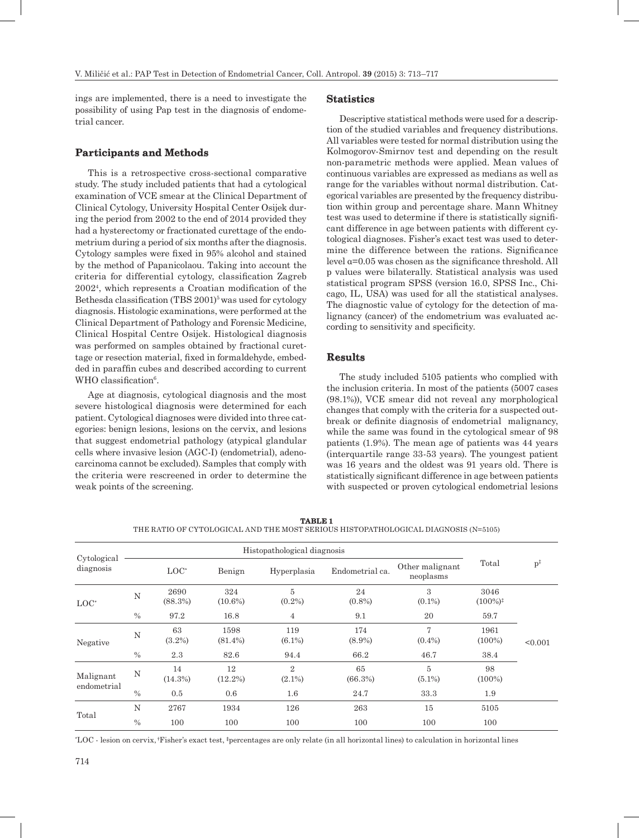ings are implemented, there is a need to investigate the possibility of using Pap test in the diagnosis of endometrial cancer.

## **Participants and Methods**

This is a retrospective cross-sectional comparative study. The study included patients that had a cytological examination of VCE smear at the Clinical Department of Clinical Cytology, University Hospital Center Osijek during the period from 2002 to the end of 2014 provided they had a hysterectomy or fractionated curettage of the endometrium during a period of six months after the diagnosis. Cytology samples were fixed in 95% alcohol and stained by the method of Papanicolaou. Taking into account the criteria for differential cytology, classification Zagreb 20024, which represents a Croatian modification of the Bethesda classification  $(TBS 2001)^5$  was used for cytology diagnosis. Histologic examinations, were performed at the Clinical Department of Pathology and Forensic Medicine, Clinical Hospital Centre Osijek. Histological diagnosis was performed on samples obtained by fractional curettage or resection material, fixed in formaldehyde, embedded in paraffin cubes and described according to current WHO classification<sup>6</sup>.

Age at diagnosis, cytological diagnosis and the most severe histological diagnosis were determined for each patient. Cytological diagnoses were divided into three categories: benign lesions, lesions on the cervix, and lesions that suggest endometrial pathology (atypical glandular cells where invasive lesion (AGC-I) (endometrial), adenocarcinoma cannot be excluded). Samples that comply with the criteria were rescreened in order to determine the weak points of the screening.

#### **Statistics**

Descriptive statistical methods were used for a description of the studied variables and frequency distributions. All variables were tested for normal distribution using the Kolmogorov-Smirnov test and depending on the result non-parametric methods were applied. Mean values of continuous variables are expressed as medians as well as range for the variables without normal distribution. Categorical variables are presented by the frequency distribution within group and percentage share. Mann Whitney test was used to determine if there is statistically significant difference in age between patients with different cytological diagnoses. Fisher's exact test was used to determine the difference between the rations. Significance level α=0.05 was chosen as the significance threshold. All p values were bilaterally. Statistical analysis was used statistical program SPSS (version 16.0, SPSS Inc., Chicago, IL, USA) was used for all the statistical analyses. The diagnostic value of cytology for the detection of malignancy (cancer) of the endometrium was evaluated according to sensitivity and specificity.

## **Results**

The study included 5105 patients who complied with the inclusion criteria. In most of the patients (5007 cases (98.1%)), VCE smear did not reveal any morphological changes that comply with the criteria for a suspected outbreak or definite diagnosis of endometrial malignancy, while the same was found in the cytological smear of 98 patients (1.9%). The mean age of patients was 44 years (interquartile range 33-53 years). The youngest patient was 16 years and the oldest was 91 years old. There is statistically significant difference in age between patients with suspected or proven cytological endometrial lesions

| Cytological<br>diagnosis |               |                  |                    |                             |                  |                              |                              |                         |
|--------------------------|---------------|------------------|--------------------|-----------------------------|------------------|------------------------------|------------------------------|-------------------------|
|                          |               | $LOC^*$          | Benign             | Hyperplasia                 | Endometrial ca.  | Other malignant<br>neoplasms | Total                        | $\mathbf{p}^{\ddagger}$ |
| $LOC^*$                  | N             | 2690<br>(88.3%)  | 324<br>$(10.6\%)$  | 5<br>$(0.2\%)$              | 24<br>$(0.8\%)$  | 3<br>$(0.1\%)$               | 3046<br>$(100\%)^{\ddagger}$ |                         |
|                          | $\frac{0}{0}$ | 97.2             | 16.8               | $\overline{4}$              | 9.1              | 20                           | 59.7                         |                         |
| Negative                 | N             | 63<br>$(3.2\%)$  | 1598<br>$(81.4\%)$ | 119<br>$(6.1\%)$            | 174<br>$(8.9\%)$ | 7<br>$(0.4\%)$               | 1961<br>$(100\%)$            | < 0.001                 |
|                          | $\frac{0}{0}$ | 2.3              | 82.6               | 94.4                        | 66.2             | 46.7                         | 38.4                         |                         |
| Malignant<br>endometrial | N             | 14<br>$(14.3\%)$ | 12<br>$(12.2\%)$   | $\overline{2}$<br>$(2.1\%)$ | 65<br>(66.3%)    | $\overline{5}$<br>$(5.1\%)$  | 98<br>$(100\%)$              |                         |
|                          | $\%$          | 0.5              | 0.6                | $1.6\,$                     | 24.7             | 33.3                         | 1.9                          |                         |
| Total                    | N             | 2767             | 1934               | 126                         | 263              | 15                           | 5105                         |                         |
|                          | $\%$          | 100              | 100                | 100                         | 100              | 100                          | 100                          |                         |

**TABLE 1** THE RATIO OF CYTOLOGICAL AND THE MOST SERIOUS HISTOPATHOLOGICAL DIAGNOSIS (N=5105)

\* LOC - lesion on cervix, †Fisher's exact test, **‡** percentages are only relate (in all horizontal lines) to calculation in horizontal lines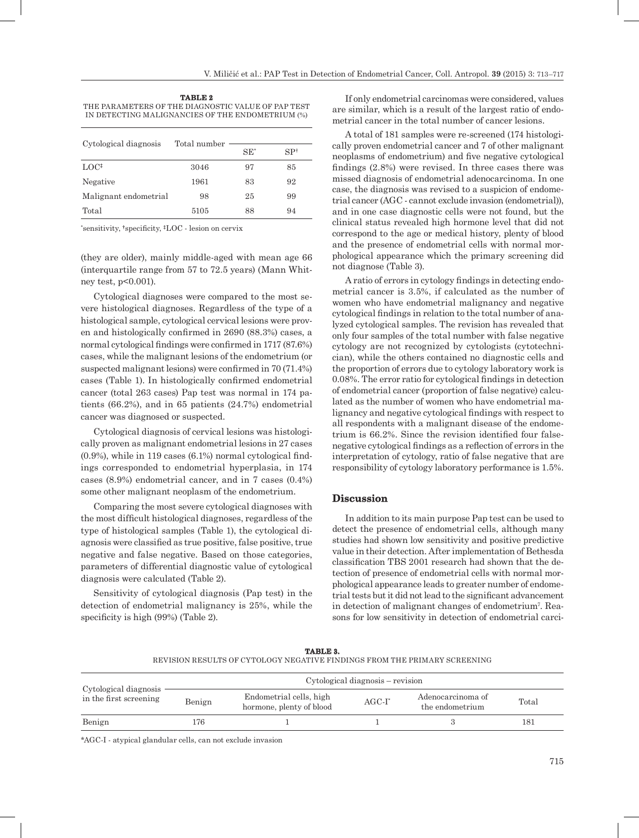**TABLE 2** THE PARAMETERS OF THE DIAGNOSTIC VALUE OF PAP TEST IN DETECTING MALIGNANCIES OF THE ENDOMETRIUM (%)

|                       | Total number |        |                 |
|-----------------------|--------------|--------|-----------------|
| Cytological diagnosis |              | $SE^*$ | SP <sup>†</sup> |
| $LOC*$                | 3046         | 97     | 85              |
| Negative              | 1961         | 83     | 92              |
| Malignant endometrial | 98           | 25     | 99              |
| Total                 | 5105         | 88     | 94              |

\* sensitivity, **†** specificity, **‡**LOC - lesion on cervix

(they are older), mainly middle-aged with mean age 66 (interquartile range from 57 to 72.5 years) (Mann Whitney test, p<0.001).

Cytological diagnoses were compared to the most severe histological diagnoses. Regardless of the type of a histological sample, cytological cervical lesions were proven and histologically confirmed in 2690 (88.3%) cases, a normal cytological findings were confirmed in 1717 (87.6%) cases, while the malignant lesions of the endometrium (or suspected malignant lesions) were confirmed in 70 (71.4%) cases (Table 1). In histologically confirmed endometrial cancer (total 263 cases) Pap test was normal in 174 patients (66.2%), and in 65 patients (24.7%) endometrial cancer was diagnosed or suspected.

Cytological diagnosis of cervical lesions was histologically proven as malignant endometrial lesions in 27 cases (0.9%), while in 119 cases (6.1%) normal cytological findings corresponded to endometrial hyperplasia, in 174 cases (8.9%) endometrial cancer, and in 7 cases (0.4%) some other malignant neoplasm of the endometrium.

Comparing the most severe cytological diagnoses with the most difficult histological diagnoses, regardless of the type of histological samples (Table 1), the cytological diagnosis were classified as true positive, false positive, true negative and false negative. Based on those categories, parameters of differential diagnostic value of cytological diagnosis were calculated (Table 2).

Sensitivity of cytological diagnosis (Pap test) in the detection of endometrial malignancy is 25%, while the specificity is high (99%) (Table 2).

If only endometrial carcinomas were considered, values are similar, which is a result of the largest ratio of endometrial cancer in the total number of cancer lesions.

A total of 181 samples were re-screened (174 histologically proven endometrial cancer and 7 of other malignant neoplasms of endometrium) and five negative cytological findings (2.8%) were revised. In three cases there was missed diagnosis of endometrial adenocarcinoma. In one case, the diagnosis was revised to a suspicion of endometrial cancer (AGC - cannot exclude invasion (endometrial)), and in one case diagnostic cells were not found, but the clinical status revealed high hormone level that did not correspond to the age or medical history, plenty of blood and the presence of endometrial cells with normal morphological appearance which the primary screening did not diagnose (Table 3).

A ratio of errors in cytology findings in detecting endometrial cancer is 3.5%, if calculated as the number of women who have endometrial malignancy and negative cytological findings in relation to the total number of analyzed cytological samples. The revision has revealed that only four samples of the total number with false negative cytology are not recognized by cytologists (cytotechnician), while the others contained no diagnostic cells and the proportion of errors due to cytology laboratory work is 0.08%. The error ratio for cytological findings in detection of endometrial cancer (proportion of false negative) calculated as the number of women who have endometrial malignancy and negative cytological findings with respect to all respondents with a malignant disease of the endometrium is 66.2%. Since the revision identified four falsenegative cytological findings as a reflection of errors in the interpretation of cytology, ratio of false negative that are responsibility of cytology laboratory performance is 1.5%.

#### **Discussion**

In addition to its main purpose Pap test can be used to detect the presence of endometrial cells, although many studies had shown low sensitivity and positive predictive value in their detection. After implementation of Bethesda classification TBS 2001 research had shown that the detection of presence of endometrial cells with normal morphological appearance leads to greater number of endometrial tests but it did not lead to the significant advancement in detection of malignant changes of endometrium<sup>7</sup> . Reasons for low sensitivity in detection of endometrial carci-

| TABLE 3.                                                                  |  |  |  |  |  |  |
|---------------------------------------------------------------------------|--|--|--|--|--|--|
| REVISION RESULTS OF CYTOLOGY NEGATIVE FINDINGS FROM THE PRIMARY SCREENING |  |  |  |  |  |  |

|                                                 | Cytological diagnosis – revision |                                                     |           |                                      |       |  |  |
|-------------------------------------------------|----------------------------------|-----------------------------------------------------|-----------|--------------------------------------|-------|--|--|
| Cytological diagnosis<br>in the first screening | Benign                           | Endometrial cells, high<br>hormone, plenty of blood | $AGC-I^*$ | Adenocarcinoma of<br>the endometrium | Total |  |  |
| Benign                                          | 176                              |                                                     |           |                                      | 181   |  |  |

\*AGC-I - atypical glandular cells, can not exclude invasion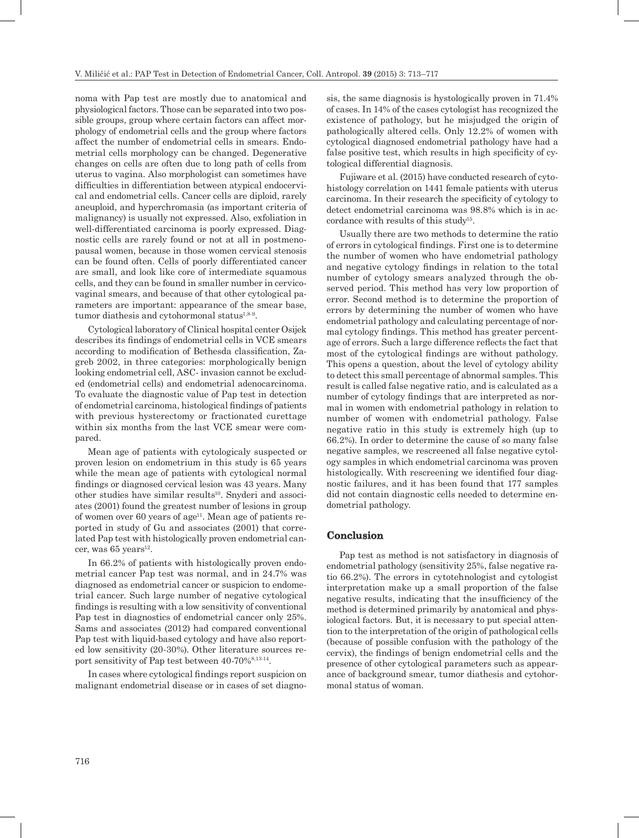noma with Pap test are mostly due to anatomical and physiological factors. Those can be separated into two possible groups, group where certain factors can affect morphology of endometrial cells and the group where factors affect the number of endometrial cells in smears. Endometrial cells morphology can be changed. Degenerative changes on cells are often due to long path of cells from uterus to vagina. Also morphologist can sometimes have difficulties in differentiation between atypical endocervical and endometrial cells. Cancer cells are diploid, rarely aneuploid, and hyperchromasia (as important criteria of malignancy) is usually not expressed. Also, exfoliation in well-differentiated carcinoma is poorly expressed. Diagnostic cells are rarely found or not at all in postmenopausal women, because in those women cervical stenosis can be found often. Cells of poorly differentiated cancer are small, and look like core of intermediate squamous cells, and they can be found in smaller number in cervicovaginal smears, and because of that other cytological parameters are important: appearance of the smear base, tumor diathesis and cytohormonal status<sup>1,8-9</sup>.

Cytological laboratory of Clinical hospital center Osijek describes its findings of endometrial cells in VCE smears according to modification of Bethesda classification, Zagreb 2002, in three categories: morphologically benign looking endometrial cell, ASC- invasion cannot be excluded (endometrial cells) and endometrial adenocarcinoma. To evaluate the diagnostic value of Pap test in detection of endometrial carcinoma, histological findings of patients with previous hysterectomy or fractionated curettage within six months from the last VCE smear were compared.

Mean age of patients with cytologicaly suspected or proven lesion on endometrium in this study is 65 years while the mean age of patients with cytological normal findings or diagnosed cervical lesion was 43 years. Many other studies have similar results<sup>10</sup>. Snyderi and associates (2001) found the greatest number of lesions in group of women over 60 years of  $age<sup>11</sup>$ . Mean age of patients reported in study of Gu and associates (2001) that correlated Pap test with histologically proven endometrial cancer, was  $65$  years<sup>12</sup>.

In 66.2% of patients with histologically proven endometrial cancer Pap test was normal, and in 24.7% was diagnosed as endometrial cancer or suspicion to endometrial cancer. Such large number of negative cytological findings is resulting with a low sensitivity of conventional Pap test in diagnostics of endometrial cancer only 25%. Sams and associates (2012) had compared conventional Pap test with liquid-based cytology and have also reported low sensitivity (20-30%). Other literature sources report sensitivity of Pap test between 40-70%<sup>8,13-14</sup>.

In cases where cytological findings report suspicion on malignant endometrial disease or in cases of set diagno-

sis, the same diagnosis is hystologically proven in 71.4% of cases. In 14% of the cases cytologist has recognized the existence of pathology, but he misjudged the origin of pathologically altered cells. Only 12.2% of women with cytological diagnosed endometrial pathology have had a false positive test, which results in high specificity of cytological differential diagnosis.

Fujiware et al. (2015) have conducted research of cytohistology correlation on 1441 female patients with uterus carcinoma. In their research the specificity of cytology to detect endometrial carcinoma was 98.8% which is in accordance with results of this study<sup>15</sup>.

Usually there are two methods to determine the ratio of errors in cytological findings. First one is to determine the number of women who have endometrial pathology and negative cytology findings in relation to the total number of cytology smears analyzed through the observed period. This method has very low proportion of error. Second method is to determine the proportion of errors by determining the number of women who have endometrial pathology and calculating percentage of normal cytology findings. This method has greater percentage of errors. Such a large difference reflects the fact that most of the cytological findings are without pathology. This opens a question, about the level of cytology ability to detect this small percentage of abnormal samples. This result is called false negative ratio, and is calculated as a number of cytology findings that are interpreted as normal in women with endometrial pathology in relation to number of women with endometrial pathology. False negative ratio in this study is extremely high (up to 66.2%). In order to determine the cause of so many false negative samples, we rescreened all false negative cytology samples in which endometrial carcinoma was proven histologically. With rescreening we identified four diagnostic failures, and it has been found that 177 samples did not contain diagnostic cells needed to determine endometrial pathology.

## **Conclusion**

Pap test as method is not satisfactory in diagnosis of endometrial pathology (sensitivity 25%, false negative ratio 66.2%). The errors in cytotehnologist and cytologist interpretation make up a small proportion of the false negative results, indicating that the insufficiency of the method is determined primarily by anatomical and physiological factors. But, it is necessary to put special attention to the interpretation of the origin of pathological cells (because of possible confusion with the pathology of the cervix), the findings of benign endometrial cells and the presence of other cytological parameters such as appearance of background smear, tumor diathesis and cytohormonal status of woman.